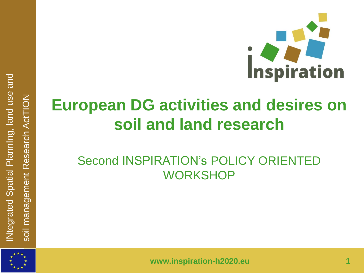

## **European DG activities and desires on soil and land research**

### Second INSPIRATION's POLICY ORIENTED **WORKSHOP**



INtegrated Spatial PlannIng, land use and

Ntegrated Spatial Planning, land use and

soil management Research ActTION

soil management Research ActTION

**www.inspiration-h2020.eu 1**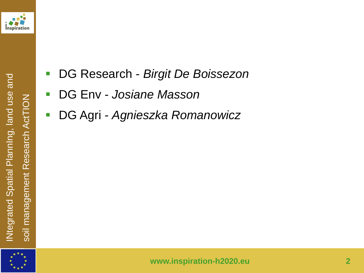



- DG Env *Josiane Masson*
- DG Agri *Agnieszka Romanowicz*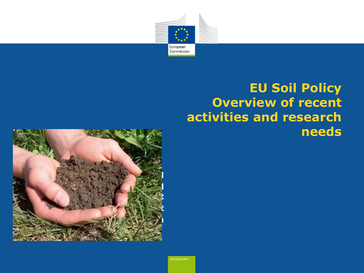

### **EU Soil Policy Overview of recent activities and research needs**

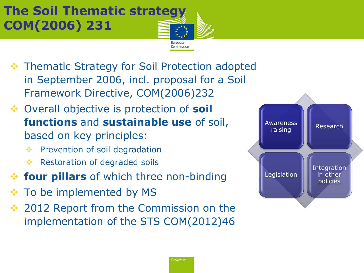### **The Soil Thematic strategy COM(2006) 231**

- **❖ Thematic Strategy for Soil Protection adopted** in September 2006, incl. proposal for a Soil Framework Directive, COM(2006)232
- Overall objective is protection of **soil functions** and **sustainable use** of soil, based on key principles:
	- **❖** Prevention of soil degradation
	- **Executed** Restoration of degraded soils
- **four pillars** of which three non-binding
- **External To be implemented by MS**
- 2012 Report from the Commission on the implementation of the STS COM(2012)46



European Commission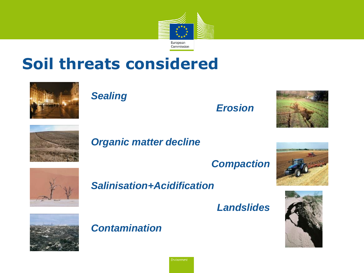

### **Soil threats considered**



### *Sealing*

#### *Erosion*





#### *Organic matter decline*

*Compaction*



#### *Salinisation+Acidification*

*Landslides*





*Contamination*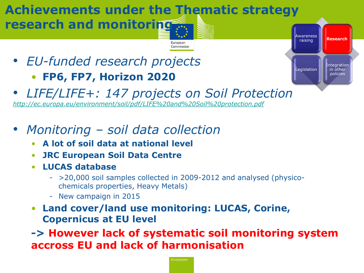### **Achievements under the Thematic strategy research and monitoring**

• *EU-funded research projects* • **FP6, FP7, Horizon 2020**

- Awareness raising Research **Research**Legislation Integration in other policies
- *LIFE/LIFE+: 147 projects on Soil Protection [http://ec.europa.eu/environment/soil/pdf/LIFE%20and%20Soil%20protection.pdf](http://ec.europa.eu/environment/soil/pdf/LIFE and Soil protection.pdf)*
- *Monitoring – soil data collection*
	- **A lot of soil data at national level**
	- **JRC European Soil Data Centre**
	- **LUCAS database**
		- >20,000 soil samples collected in 2009-2012 and analysed (physicochemicals properties, Heavy Metals)

European Commission

- New campaign in 2015
- **Land cover/land use monitoring: LUCAS, Corine, Copernicus at EU level**

**-> However lack of systematic soil monitoring system accross EU and lack of harmonisation**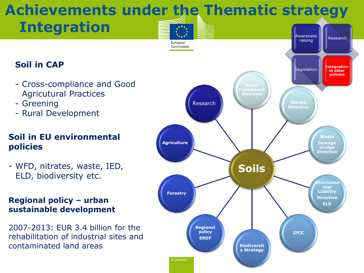# **Achievements under the Thematic strategy**

#### **Soil in CAP**

- Cross-compliance and Good Agricutural Practices
- Greening
- Rural Development

#### **Soil in EU environmental policies**

- WFD, nitrates, waste, IED, ELD, biodiversity etc.

#### **Regional policy – urban sustainable development**

2007-2013: EUR 3.4 billion for the rehabilitation of industrial sites and contaminated land areas

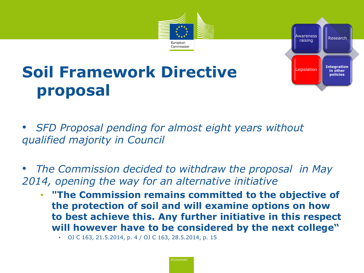

#### Awareness wareness<br>raising Research Legislation Integration **Integration**  in other **in other**  policies **policies**

## **Soil Framework Directive proposal**

• *SFD Proposal pending for almost eight years without qualified majority in Council*

• *The Commission decided to withdraw the proposal in May 2014, opening the way for an alternative initiative*

• **"The Commission remains committed to the objective of the protection of soil and will examine options on how to best achieve this. Any further initiative in this respect will however have to be considered by the next college"**

• OJ C 163, 21.5.2014, p. 4 / OJ C 163, 28.5.2014, p. 15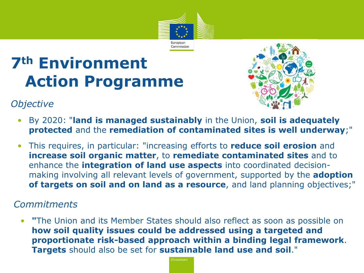

## **7th Environment Action Programme**



#### *Objective*

- By 2020: "**land is managed sustainably** in the Union, **soil is adequately protected** and the **remediation of contaminated sites is well underway**;"
- This requires, in particular: "increasing efforts to **reduce soil erosion** and **increase soil organic matter**, to **remediate contaminated sites** and to enhance the **integration of land use aspects** into coordinated decisionmaking involving all relevant levels of government, supported by the **adoption of targets on soil and on land as a resource**, and land planning objectives;"

#### *Commitments*

• **"**The Union and its Member States should also reflect as soon as possible on **how soil quality issues could be addressed using a targeted and proportionate risk-based approach within a binding legal framework**. **Targets** should also be set for **sustainable land use and soil**."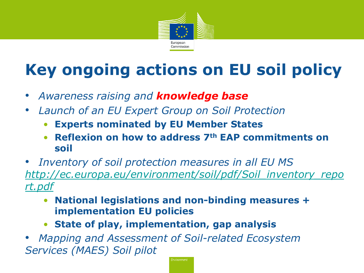

## **Key ongoing actions on EU soil policy**

- *Awareness raising and knowledge base*
- *Launch of an EU Expert Group on Soil Protection*
	- **Experts nominated by EU Member States**
	- **Reflexion on how to address 7th EAP commitments on soil**
- *Inventory of soil protection measures in all EU MS [http://ec.europa.eu/environment/soil/pdf/Soil\\_inventory\\_repo](http://ec.europa.eu/environment/soil/pdf/Soil_inventory_report.pdf) [rt.pdf](http://ec.europa.eu/environment/soil/pdf/Soil_inventory_report.pdf)*
	- **National legislations and non-binding measures + implementation EU policies**
	- **State of play, implementation, gap analysis**

• *Mapping and Assessment of Soil-related Ecosystem Services (MAES) Soil pilot*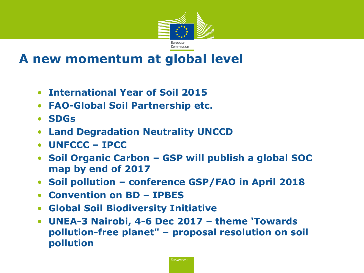

### **A new momentum at global level**

- **International Year of Soil 2015**
- **FAO-Global Soil Partnership etc.**
- **SDGs**
- **Land Degradation Neutrality UNCCD**
- **UNFCCC – IPCC**
- **Soil Organic Carbon – GSP will publish a global SOC map by end of 2017**
- **Soil pollution – conference GSP/FAO in April 2018**
- **Convention on BD – IPBES**
- **Global Soil Biodiversity Initiative**
- **UNEA-3 Nairobi, 4-6 Dec 2017 – theme 'Towards pollution-free planet" – proposal resolution on soil pollution**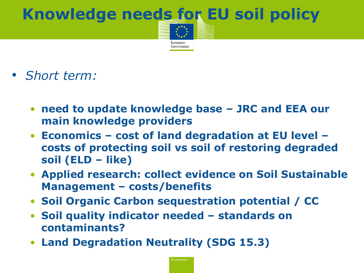# **Knowledge needs for EU soil policy**

European Commission

- *Short term:* 
	- **need to update knowledge base – JRC and EEA our main knowledge providers**
	- **Economics – cost of land degradation at EU level – costs of protecting soil vs soil of restoring degraded soil (ELD – like)**
	- **Applied research: collect evidence on Soil Sustainable Management – costs/benefits**
	- **Soil Organic Carbon sequestration potential / CC**
	- **Soil quality indicator needed – standards on contaminants?**
	- **Land Degradation Neutrality (SDG 15.3)**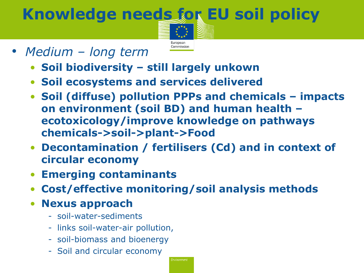## **Knowledge needs for EU soil policy**



- *Medium – long term*
	- **Soil biodiversity – still largely unkown**
	- **Soil ecosystems and services delivered**
	- **Soil (diffuse) pollution PPPs and chemicals – impacts on environment (soil BD) and human health – ecotoxicology/improve knowledge on pathways chemicals->soil->plant->Food**
	- **Decontamination / fertilisers (Cd) and in context of circular economy**
	- **Emerging contaminants**
	- **Cost/effective monitoring/soil analysis methods**
	- **Nexus approach**
		- soil-water-sediments
		- links soil-water-air pollution,
		- soil-biomass and bioenergy
		- Soil and circular economy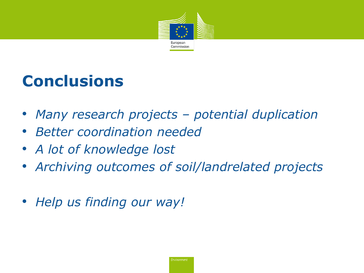

### **Conclusions**

- *Many research projects – potential duplication*
- *Better coordination needed*
- *A lot of knowledge lost*
- *Archiving outcomes of soil/landrelated projects*
- *Help us finding our way!*